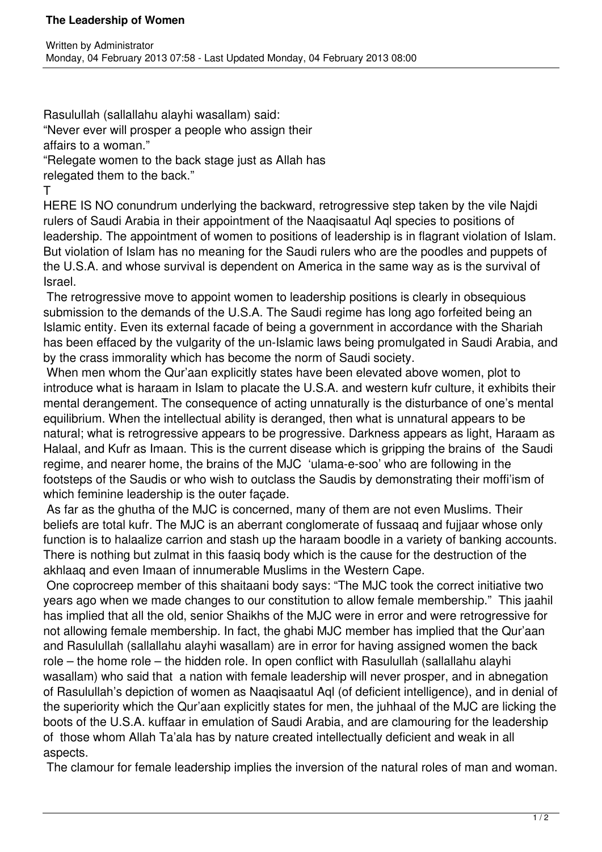Rasulullah (sallallahu alayhi wasallam) said:

"Never ever will prosper a people who assign their

affairs to a woman."

"Relegate women to the back stage just as Allah has

relegated them to the back."

T

HERE IS NO conundrum underlying the backward, retrogressive step taken by the vile Najdi rulers of Saudi Arabia in their appointment of the Naaqisaatul Aql species to positions of leadership. The appointment of women to positions of leadership is in flagrant violation of Islam. But violation of Islam has no meaning for the Saudi rulers who are the poodles and puppets of the U.S.A. and whose survival is dependent on America in the same way as is the survival of Israel.

 The retrogressive move to appoint women to leadership positions is clearly in obsequious submission to the demands of the U.S.A. The Saudi regime has long ago forfeited being an Islamic entity. Even its external facade of being a government in accordance with the Shariah has been effaced by the vulgarity of the un-Islamic laws being promulgated in Saudi Arabia, and by the crass immorality which has become the norm of Saudi society.

 When men whom the Qur'aan explicitly states have been elevated above women, plot to introduce what is haraam in Islam to placate the U.S.A. and western kufr culture, it exhibits their mental derangement. The consequence of acting unnaturally is the disturbance of one's mental equilibrium. When the intellectual ability is deranged, then what is unnatural appears to be natural; what is retrogressive appears to be progressive. Darkness appears as light, Haraam as Halaal, and Kufr as Imaan. This is the current disease which is gripping the brains of the Saudi regime, and nearer home, the brains of the MJC 'ulama-e-soo' who are following in the footsteps of the Saudis or who wish to outclass the Saudis by demonstrating their moffi'ism of which feminine leadership is the outer facade.

 As far as the ghutha of the MJC is concerned, many of them are not even Muslims. Their beliefs are total kufr. The MJC is an aberrant conglomerate of fussaaq and fujjaar whose only function is to halaalize carrion and stash up the haraam boodle in a variety of banking accounts. There is nothing but zulmat in this faasiq body which is the cause for the destruction of the akhlaaq and even Imaan of innumerable Muslims in the Western Cape.

 One coprocreep member of this shaitaani body says: "The MJC took the correct initiative two years ago when we made changes to our constitution to allow female membership." This jaahil has implied that all the old, senior Shaikhs of the MJC were in error and were retrogressive for not allowing female membership. In fact, the ghabi MJC member has implied that the Qur'aan and Rasulullah (sallallahu alayhi wasallam) are in error for having assigned women the back role – the home role – the hidden role. In open conflict with Rasulullah (sallallahu alayhi wasallam) who said that a nation with female leadership will never prosper, and in abnegation of Rasulullah's depiction of women as Naaqisaatul Aql (of deficient intelligence), and in denial of the superiority which the Qur'aan explicitly states for men, the juhhaal of the MJC are licking the boots of the U.S.A. kuffaar in emulation of Saudi Arabia, and are clamouring for the leadership of those whom Allah Ta'ala has by nature created intellectually deficient and weak in all aspects.

The clamour for female leadership implies the inversion of the natural roles of man and woman.